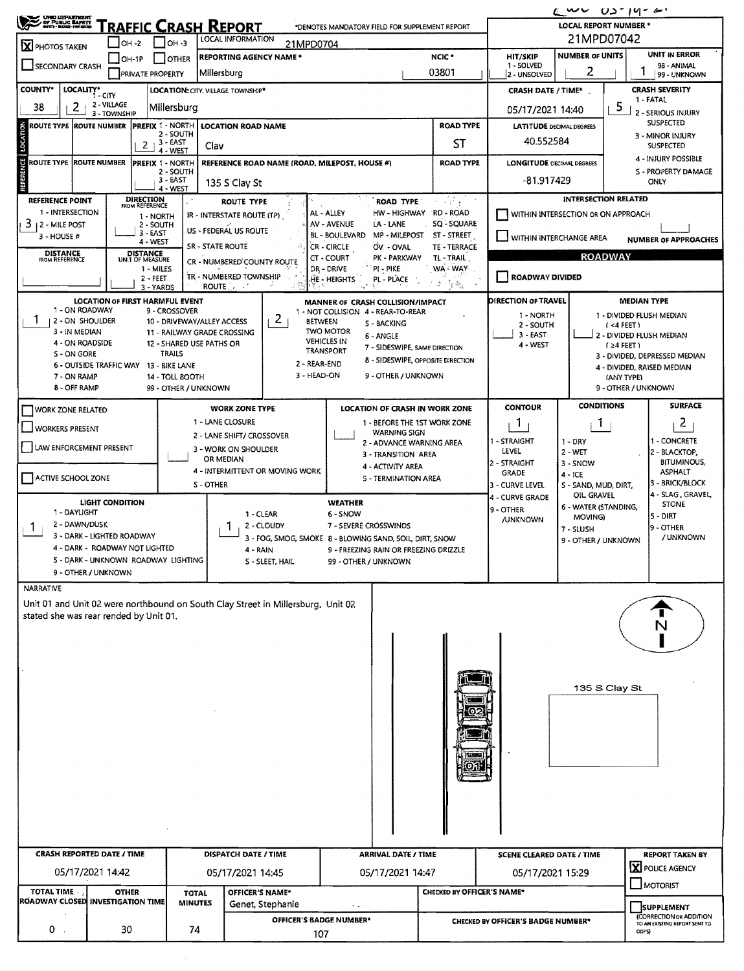| $\epsilon$ wv<br>OPPUBLIC BARRITY                                                                                                                                             |                                  |                             |                                        |                                |                                                           |                                                                                  |                                    |                                                 |                                        |                                                        |                                     |                                              | $03 - 19 - 6$                                    |  |  |  |
|-------------------------------------------------------------------------------------------------------------------------------------------------------------------------------|----------------------------------|-----------------------------|----------------------------------------|--------------------------------|-----------------------------------------------------------|----------------------------------------------------------------------------------|------------------------------------|-------------------------------------------------|----------------------------------------|--------------------------------------------------------|-------------------------------------|----------------------------------------------|--------------------------------------------------|--|--|--|
| RAFFIC CRASH REPORT<br><b>LOCAL REPORT NUMBER *</b><br>*DENOTES MANDATORY FIELD FOR SUPPLEMENT REPORT<br>21MPD07042<br>LOCAL INFORMATION                                      |                                  |                             |                                        |                                |                                                           |                                                                                  |                                    |                                                 |                                        |                                                        |                                     |                                              |                                                  |  |  |  |
| $IOH - 2$<br>$ $ OH -3<br>21MPD0704<br>X PHOTOS TAKEN<br>NCIC <sup>+</sup>                                                                                                    |                                  |                             |                                        |                                |                                                           |                                                                                  |                                    |                                                 |                                        |                                                        | <b>NUMBER OF UNITS</b>              |                                              |                                                  |  |  |  |
| SECONDARY CRASH                                                                                                                                                               |                                  | $\Box$ OH-1P                |                                        | <b>OTHER</b>                   | <b>REPORTING AGENCY NAME *</b>                            |                                                                                  |                                    |                                                 | HIT/SKIP<br>1 - SOLVED                 |                                                        |                                     | <b>UNIT IN ERROR</b><br>98 - ANIMAL          |                                                  |  |  |  |
|                                                                                                                                                                               |                                  |                             | <b>PRIVATE PROPERTY</b>                |                                | Millersburg                                               |                                                                                  |                                    |                                                 | 2 - UNSOLVED                           | 2                                                      |                                     | 99 - UNKNOWN                                 |                                                  |  |  |  |
| <b>COUNTY*</b>                                                                                                                                                                | LOCALITY* CITY                   |                             | LOCATION: CITY, VILLAGE. TOWNSHIP*     |                                | <b>CRASH DATE / TIME*</b>                                 |                                                                                  |                                    | <b>CRASH SEVERITY</b><br>1 - FATAL              |                                        |                                                        |                                     |                                              |                                                  |  |  |  |
| 38                                                                                                                                                                            | 2                                | 2 - VILLAGE<br>3 - TOWNSHIP |                                        | Millersburg                    |                                                           |                                                                                  |                                    |                                                 |                                        | 05/17/2021 14:40                                       |                                     | 5<br>2 - SERIOUS INJURY                      |                                                  |  |  |  |
| ROUTE TYPE  ROUTE NUMBER                                                                                                                                                      |                                  |                             | <b>PREFIX 1 - NORTH</b>                |                                | <b>LOCATION ROAD NAME</b>                                 |                                                                                  |                                    |                                                 | <b>ROAD TYPE</b>                       | <b>LATITUDE DECIMAL DEGREES</b>                        |                                     | <b>SUSPECTED</b>                             |                                                  |  |  |  |
| LOCATION                                                                                                                                                                      |                                  |                             | $, 3 - EAST$<br>2                      | 2 - SOUTH                      | Clav                                                      |                                                                                  |                                    |                                                 | 40.552584                              |                                                        |                                     | 3 - MINOR INJURY<br><b>SUSPECTED</b>         |                                                  |  |  |  |
| <b>ROUTE TYPE ROUTE NUMBER</b>                                                                                                                                                |                                  |                             | <b>PREFIX 1 - NORTH</b>                | 4 - WEST                       |                                                           | REFERENCE ROAD NAME (ROAD, MILEPOST, HOUSE #)                                    |                                    |                                                 | <b>LONGITUDE DECIMAL DEGREES</b>       |                                                        |                                     | 4 - INJURY POSSIBLE                          |                                                  |  |  |  |
|                                                                                                                                                                               |                                  |                             |                                        | 2 - SOUTH                      |                                                           |                                                                                  |                                    |                                                 | <b>ROAD TYPE</b>                       |                                                        |                                     |                                              | S - PROPERTY DAMAGE                              |  |  |  |
|                                                                                                                                                                               |                                  |                             |                                        | $3 - EAST$<br>4 - WEST         | 135 S Clay St                                             |                                                                                  |                                    |                                                 |                                        | -81.917429                                             | ONLY                                |                                              |                                                  |  |  |  |
| <b>REFERENCE POINT</b>                                                                                                                                                        |                                  |                             | <b>DIRECTION</b><br>FROM REFERENCE     |                                | <b>ROUTE TYPE</b>                                         |                                                                                  |                                    | <b>ROAD TYPE</b>                                | e visit provincia<br>Política          |                                                        | <b>INTERSECTION RELATED</b>         |                                              |                                                  |  |  |  |
| 1 - INTERSECTION<br>3<br>12 - MILE POST                                                                                                                                       |                                  |                             | 1 - NORTH<br>2 - SOUTH                 |                                | IR - INTERSTATE ROUTE (TP)                                |                                                                                  | AL - ALLEY<br>AV - AVENUE          | HW - HIGHWAY<br>LA - LANE                       | RD - ROAD<br>SQ - SQUARE               | WITHIN INTERSECTION OR ON APPROACH                     |                                     |                                              |                                                  |  |  |  |
| 3 - HOUSE #                                                                                                                                                                   |                                  |                             | 3 - EAST<br>4 - WEST                   |                                | US - FEDERAL US ROUTE                                     |                                                                                  | <b>BL - BOULEVARD</b>              | MP - MILEPOST                                   | ST - STREET                            | VITHIN INTERCHANGE AREA<br><b>NUMBER OF APPROACHES</b> |                                     |                                              |                                                  |  |  |  |
| <b>DISTANCE</b><br>FROM REFERENCE                                                                                                                                             |                                  |                             | <b>DISTANCE</b><br>UNIT OF MEASURE     |                                | SR - STATE ROUTE                                          |                                                                                  | CR - CIRCLE                        | OV. - OVAL<br>PK - PARKWAY                      | <b>TE - TERRACE</b><br>TL-TRAIL        | <b>ROADWAY</b>                                         |                                     |                                              |                                                  |  |  |  |
|                                                                                                                                                                               |                                  |                             | 1 - MILES                              |                                | CR - NUMBERED COUNTY ROUTE                                |                                                                                  | CT - COURT<br>DR - DRIVE           | PI - PIKE                                       | WA - WAY                               |                                                        |                                     |                                              |                                                  |  |  |  |
|                                                                                                                                                                               |                                  |                             | 2 - FEET<br>3 - YARDS                  |                                | TR - NUMBERED TOWNSHIP<br><b>ROUTE</b>                    |                                                                                  | HE - HEIGHTS                       | PL - PLACE                                      | 法传统                                    | ROADWAY DIVIDED                                        |                                     |                                              |                                                  |  |  |  |
|                                                                                                                                                                               |                                  |                             | <b>LOCATION OF FIRST HARMFUL EVENT</b> |                                |                                                           |                                                                                  |                                    | MANNER OF CRASH COLLISION/IMPACT                |                                        | DIRECTION OF TRAVEL                                    |                                     |                                              | <b>MEDIAN TYPE</b>                               |  |  |  |
|                                                                                                                                                                               | 1 - ON ROADWAY                   |                             |                                        | 9 - CROSSOVER                  |                                                           |                                                                                  |                                    | 1 - NOT COLLISION 4 - REAR-TO-REAR              |                                        | 1 - NORTH                                              |                                     |                                              | 1 - DIVIDED FLUSH MEDIAN                         |  |  |  |
| -1                                                                                                                                                                            | 2 - ON SHOULDER<br>3 - IN MEDIAN |                             |                                        |                                | 10 - DRIVEWAY/ALLEY ACCESS<br>11 - RAILWAY GRADE CROSSING | 2                                                                                | <b>BETWEEN</b><br><b>TWO MOTOR</b> | <b>5 - BACKING</b>                              |                                        | 2 - SOUTH<br>3 - EAST                                  |                                     | ( <sub>4</sub> FEET)                         |                                                  |  |  |  |
|                                                                                                                                                                               | 4 - ON ROADSIDE                  |                             |                                        |                                | 12 - SHARED USE PATHS OR                                  |                                                                                  | <b>VEHICLES IN</b><br>TRANSPORT    | 6 - ANGLE<br>7 - SIDESWIPE, SAME DIRECTION      |                                        | 4 - WEST                                               |                                     | 2 - DIVIDED FLUSH MEDIAN<br>$(24$ FEET)      |                                                  |  |  |  |
| S - ON GORE                                                                                                                                                                   |                                  |                             |                                        | <b>TRAILS</b>                  |                                                           |                                                                                  |                                    | 8 - SIDESWIPE, OPPOSITE DIRECTION               |                                        |                                                        |                                     |                                              | 3 - DIVIDED, DEPRESSED MEDIAN                    |  |  |  |
| 2 - REAR-END<br>6 - OUTSIDE TRAFFIC WAY<br>13 - BIKE LANE<br>4 - DIVIDED, RAISED MEDIAN<br>3 - HEAD-ON<br>9 - OTHER / UNKNOWN<br>7 - ON RAMP<br>14 - TOLL BOOTH<br>(ANY TYPE) |                                  |                             |                                        |                                |                                                           |                                                                                  |                                    |                                                 |                                        |                                                        |                                     |                                              |                                                  |  |  |  |
| 8 - OFF RAMP<br>9 - OTHER / UNKNOWN<br>99 - OTHER / UNKNOWN                                                                                                                   |                                  |                             |                                        |                                |                                                           |                                                                                  |                                    |                                                 |                                        |                                                        |                                     |                                              |                                                  |  |  |  |
| <b>WORK ZONE RELATED</b>                                                                                                                                                      |                                  |                             |                                        |                                | <b>WORK ZONE TYPE</b>                                     |                                                                                  |                                    | <b>LOCATION OF CRASH IN WORK ZONE</b>           |                                        | <b>CONTOUR</b>                                         | <b>CONDITIONS</b>                   |                                              | <b>SURFACE</b>                                   |  |  |  |
| <b>WORKERS PRESENT</b>                                                                                                                                                        |                                  |                             |                                        |                                | 1 - LANE CLOSURE                                          |                                                                                  |                                    | 1 - BEFORE THE 1ST WORK ZONE                    |                                        | <b>T</b>                                               |                                     |                                              | $\overline{2}$                                   |  |  |  |
|                                                                                                                                                                               |                                  |                             |                                        |                                | 2 - LANE SHIFT/ CROSSOVER                                 |                                                                                  |                                    | <b>WARNING SIGN</b><br>2 - ADVANCE WARNING AREA |                                        | 1 - STRAIGHT                                           | $1 - DRY$                           |                                              | 1 - CONCRETE                                     |  |  |  |
| LAW ENFORCEMENT PRESENT                                                                                                                                                       |                                  |                             |                                        |                                | 3 - WORK ON SHOULDER<br>OR MEDIAN                         |                                                                                  |                                    | 3 - TRANSITION AREA                             |                                        | LEVEL<br>2 - STRAIGHT                                  | 2 - WET                             |                                              | 2 - BLACKTOP,<br><b>BITUMINOUS,</b>              |  |  |  |
| ACTIVE SCHOOL ZONE                                                                                                                                                            |                                  |                             |                                        |                                |                                                           | 4 - INTERMITTENT OR MOVING WORK                                                  |                                    | 4 - ACTIVITY AREA                               |                                        | <b>GRADE</b>                                           | 3 - SNOW<br>$4 - ICE$               |                                              | <b>ASPHALT</b>                                   |  |  |  |
|                                                                                                                                                                               |                                  |                             |                                        |                                | S-OTHER                                                   |                                                                                  |                                    | 5 - TERMINATION AREA                            |                                        | 3 - CURVE LEVEL                                        | S - SAND, MUD, DIRT,                |                                              | 3 - BRICK/BLOCK<br>4 - SLAG, GRAVEL              |  |  |  |
|                                                                                                                                                                               | LIGHT CONDITION                  |                             |                                        |                                |                                                           |                                                                                  | <b>WEATHER</b>                     |                                                 |                                        | 4 - CURVE GRADE<br>9 - OTHER                           | OIL, GRAVEL<br>6 - WATER (STANDING, |                                              | <b>STONE</b>                                     |  |  |  |
| 1 - DAYLIGHT                                                                                                                                                                  | 2 - DAWN/DUSK                    |                             |                                        |                                |                                                           | 1 - CLEAR                                                                        | 6 - SNOW                           |                                                 | 5 - DIRT<br>MOVING)<br><b>/UNKNOWN</b> |                                                        |                                     |                                              |                                                  |  |  |  |
| 1                                                                                                                                                                             | 3 - DARK - LIGHTED ROADWAY       |                             |                                        |                                |                                                           | 2 - CLOUDY<br>3 - FOG, SMOG, SMOKE 8 - BLOWING SAND, SOIL, DIRT, SNOW            |                                    | 7 - SEVERE CROSSWINDS                           |                                        |                                                        | 7 - SLUSH<br>9 - OTHER / UNKNOWN    |                                              | 19 - OTHER<br>/ UNKNOWN                          |  |  |  |
|                                                                                                                                                                               |                                  |                             | 4 - DARK - ROADWAY NOT LIGHTED         |                                |                                                           | 4 - RAIN                                                                         |                                    | 9 - FREEZING RAIN OR FREEZING DRIZZLE           |                                        |                                                        |                                     |                                              |                                                  |  |  |  |
|                                                                                                                                                                               |                                  |                             | S - DARK - UNKNOWN ROADWAY LIGHTING    |                                |                                                           | S - SLEET, HAIL                                                                  |                                    | 99 - OTHER / UNKNOWN                            |                                        |                                                        |                                     |                                              |                                                  |  |  |  |
| <b>NARRATIVE</b>                                                                                                                                                              | 9 - OTHER / UNKNOWN              |                             |                                        |                                |                                                           |                                                                                  |                                    |                                                 |                                        |                                                        |                                     |                                              |                                                  |  |  |  |
|                                                                                                                                                                               |                                  |                             |                                        |                                |                                                           | Unit 01 and Unit 02 were northbound on South Clay Street in Millersburg, Unit 02 |                                    |                                                 |                                        |                                                        |                                     |                                              |                                                  |  |  |  |
| stated she was rear rended by Unit 01.                                                                                                                                        |                                  |                             |                                        |                                |                                                           |                                                                                  |                                    |                                                 |                                        |                                                        |                                     |                                              |                                                  |  |  |  |
|                                                                                                                                                                               |                                  |                             |                                        |                                |                                                           |                                                                                  |                                    |                                                 |                                        |                                                        |                                     |                                              | N                                                |  |  |  |
|                                                                                                                                                                               |                                  |                             |                                        |                                |                                                           |                                                                                  |                                    |                                                 |                                        |                                                        |                                     |                                              |                                                  |  |  |  |
|                                                                                                                                                                               |                                  |                             |                                        |                                |                                                           |                                                                                  |                                    |                                                 |                                        |                                                        |                                     |                                              |                                                  |  |  |  |
|                                                                                                                                                                               |                                  |                             |                                        |                                |                                                           |                                                                                  |                                    |                                                 |                                        |                                                        |                                     |                                              |                                                  |  |  |  |
|                                                                                                                                                                               |                                  |                             |                                        |                                |                                                           |                                                                                  |                                    |                                                 |                                        |                                                        |                                     | 135 S Clay St                                |                                                  |  |  |  |
|                                                                                                                                                                               |                                  |                             |                                        |                                |                                                           |                                                                                  |                                    |                                                 |                                        |                                                        |                                     |                                              |                                                  |  |  |  |
|                                                                                                                                                                               |                                  |                             |                                        |                                |                                                           |                                                                                  |                                    |                                                 |                                        |                                                        |                                     |                                              |                                                  |  |  |  |
|                                                                                                                                                                               |                                  |                             |                                        |                                |                                                           |                                                                                  |                                    |                                                 |                                        |                                                        |                                     |                                              |                                                  |  |  |  |
|                                                                                                                                                                               |                                  |                             |                                        |                                |                                                           |                                                                                  |                                    |                                                 |                                        |                                                        |                                     |                                              |                                                  |  |  |  |
|                                                                                                                                                                               |                                  |                             |                                        |                                |                                                           |                                                                                  |                                    |                                                 |                                        |                                                        |                                     |                                              |                                                  |  |  |  |
|                                                                                                                                                                               |                                  |                             |                                        |                                |                                                           |                                                                                  |                                    |                                                 |                                        |                                                        |                                     |                                              |                                                  |  |  |  |
|                                                                                                                                                                               |                                  |                             |                                        |                                |                                                           |                                                                                  |                                    |                                                 |                                        |                                                        |                                     |                                              |                                                  |  |  |  |
|                                                                                                                                                                               |                                  |                             |                                        |                                |                                                           |                                                                                  |                                    |                                                 |                                        |                                                        |                                     |                                              |                                                  |  |  |  |
|                                                                                                                                                                               |                                  |                             |                                        |                                |                                                           |                                                                                  |                                    |                                                 |                                        |                                                        |                                     |                                              |                                                  |  |  |  |
| <b>CRASH REPORTED DATE / TIME</b>                                                                                                                                             |                                  |                             |                                        |                                | DISPATCH DATE / TIME                                      |                                                                                  |                                    | <b>ARRIVAL DATE / TIME</b>                      |                                        | <b>SCENE CLEARED DATE / TIME</b>                       |                                     |                                              |                                                  |  |  |  |
|                                                                                                                                                                               |                                  |                             |                                        |                                |                                                           |                                                                                  |                                    |                                                 |                                        |                                                        |                                     |                                              | <b>REPORT TAKEN BY</b><br><b>X</b> POLICE AGENCY |  |  |  |
|                                                                                                                                                                               | 05/17/2021 14:42                 |                             |                                        |                                | 05/17/2021 14:45                                          |                                                                                  |                                    | 05/17/2021 14:47                                |                                        | 05/17/2021 15:29                                       |                                     |                                              | <b>MOTORIST</b>                                  |  |  |  |
| <b>TOTAL TIME</b><br>ROADWAY CLOSED INVESTIGATION TIME                                                                                                                        |                                  | <b>OTHER</b>                |                                        | <b>TOTAL</b><br><b>MINUTES</b> |                                                           | OFFICER'S NAME*                                                                  |                                    |                                                 | CHECKED BY OFFICER'S NAME*             |                                                        |                                     |                                              |                                                  |  |  |  |
|                                                                                                                                                                               |                                  |                             |                                        |                                |                                                           | Genet, Stephanie                                                                 | $\sim$ $\sim$                      |                                                 |                                        |                                                        |                                     | <b>SUPPLEMENT</b><br>(CORRECTION OR ADDITION |                                                  |  |  |  |
| $0 \cdot$                                                                                                                                                                     |                                  | 30                          |                                        |                                |                                                           |                                                                                  | OFFICER'S BADGE NUMBER*            |                                                 |                                        | CHECKED BY OFFICER'S BADGE NUMBER*                     |                                     |                                              | TO AN EXISTING REPORT SENT TO                    |  |  |  |
| 74<br>ODPS)<br>107                                                                                                                                                            |                                  |                             |                                        |                                |                                                           |                                                                                  |                                    |                                                 |                                        |                                                        |                                     |                                              |                                                  |  |  |  |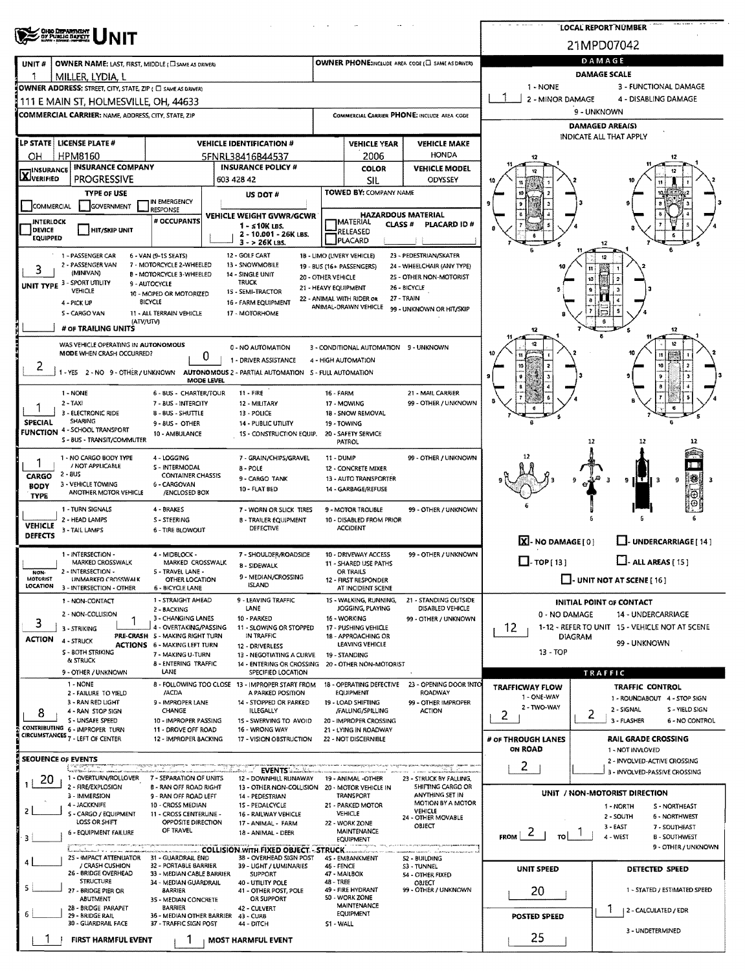| OHO DEPARTMENT<br>OY PUBLIC BAFETT                                   |                                                                        |                                                                                |                     |                                                         |                                                      |                                        |                         | LOCAL REPORT NUMBER                                            |  |  |  |
|----------------------------------------------------------------------|------------------------------------------------------------------------|--------------------------------------------------------------------------------|---------------------|---------------------------------------------------------|------------------------------------------------------|----------------------------------------|-------------------------|----------------------------------------------------------------|--|--|--|
|                                                                      |                                                                        |                                                                                |                     |                                                         |                                                      |                                        |                         | 21MPD07042                                                     |  |  |  |
| OWNER NAME: LAST, FIRST, MIDDLE (C) SAME AS DRIVER)<br>UNIT#         |                                                                        |                                                                                |                     |                                                         | OWNER PHONE:INCLUDE AREA CODE (E) SAME AS DRIVERY    |                                        |                         | DAMAGE                                                         |  |  |  |
| -1<br>MILLER, LYDIA, L                                               |                                                                        |                                                                                | <b>DAMAGE SCALE</b> |                                                         |                                                      |                                        |                         |                                                                |  |  |  |
| OWNER ADDRESS: STREET, CITY, STATE, ZIP ( C) SAME AS DRIVER)         |                                                                        |                                                                                |                     |                                                         |                                                      | 1 - NONE                               |                         | 3 - FUNCTIONAL DAMAGE                                          |  |  |  |
| 111 E MAIN ST, HOLMESVILLE, OH, 44633                                |                                                                        |                                                                                | 2 - MINOR DAMAGE    |                                                         | 4 - DISABLING DAMAGE<br>9 - UNKNOWN                  |                                        |                         |                                                                |  |  |  |
| <b>COMMERCIAL CARRIER: NAME, ADDRESS, CITY, STATE, ZIP</b>           |                                                                        |                                                                                |                     |                                                         | COMMERCIAL CARRIER PHONE: INCLUDE AREA CODE          |                                        |                         | <b>DAMAGED AREA(S)</b>                                         |  |  |  |
| LP STATE LICENSE PLATE #                                             |                                                                        | <b>VEHICLE IDENTIFICATION #</b>                                                |                     | <b>VEHICLE YEAR</b>                                     | <b>VEHICLE MAKE</b>                                  |                                        | INDICATE ALL THAT APPLY |                                                                |  |  |  |
| <b>HPM8160</b><br>ОН                                                 |                                                                        | 5FNRL38416B44537                                                               |                     | 2006                                                    | <b>HONDA</b>                                         | 12                                     |                         |                                                                |  |  |  |
| <b>INSURANCE COMPANY</b><br><b>X</b> INSURANCE                       |                                                                        | <b>INSURANCE POLICY #</b>                                                      |                     | <b>COLOR</b>                                            | <b>VEHICLE MODEL</b>                                 |                                        |                         |                                                                |  |  |  |
| <b>PROGRESSIVE</b>                                                   |                                                                        | 603 428 42                                                                     |                     | <b>SIL</b>                                              | ODYSSEY                                              |                                        |                         |                                                                |  |  |  |
| <b>TYPE OF USE</b><br><b>GOVERNMENT</b>                              | IN EMERGENCY                                                           | US DOT #                                                                       |                     | TOWED BY: COMPANY NAME                                  |                                                      |                                        |                         |                                                                |  |  |  |
| COMMERCIAL                                                           | <b>RESPONSE</b><br># OCCUPANTS                                         | VEHICLE WEIGHT GVWR/GCWR                                                       |                     |                                                         | <b>HAZARDOUS MATERIAL</b>                            |                                        |                         |                                                                |  |  |  |
| <b>INTERLOCK</b><br><b>HIT/SKIP UNIT</b><br><b>DEVICE</b>            |                                                                        | $1 - 510K$ LBS.<br>2 - 10.001 - 26K LBS.                                       |                     | <b>IMATERIAL</b><br>CLASS <sup>#</sup><br>RELEASED      | PLACARD ID#                                          |                                        |                         |                                                                |  |  |  |
| <b>EQUIPPED</b>                                                      |                                                                        | $3 - 26K$ LBS.                                                                 |                     | PLACARD                                                 |                                                      |                                        |                         |                                                                |  |  |  |
| 1 - PASSENGER CAR<br>2 - PASSENGER VAN                               | 6 - VAN (9-15 SEATS)<br>7 MOTORCYCLE 2-WHEELED                         | 12 - GOLF CART<br>13 - SNOWMOBILE                                              |                     | 18 - LIMO (LIVERY VEHICLE)<br>19 - BUS (16+ PASSENGERS) | 23 - PEDESTRIAN/SKATER<br>24 - WHEELCHAIR (ANY TYPE) |                                        |                         |                                                                |  |  |  |
| 3<br>(MINIVAN)                                                       | <b>B - MOTORCYCLE 3-WHEELED</b>                                        | 14 - SINGLE UNIT<br>20 - OTHER VEHICLE<br><b>TRUCK</b>                         |                     |                                                         | 25 - OTHER NON-MOTORIST                              |                                        | 10                      |                                                                |  |  |  |
| UNIT TYPE 3 - SPORT UTILITY<br>VEHICLE                               | 9 - AUTOCYCLE<br>10 - MOPED OR MOTORIZED                               | 21 - HEAVY EQUIPMENT<br>15 - SEMI-TRACTOR                                      |                     |                                                         | 26 - BICYCLE                                         |                                        |                         |                                                                |  |  |  |
| 4 - PICK UP                                                          | <b>BICYCLE</b><br>11 - ALL TERRAIN VEHICLE                             | 16 - FARM EQUIPMENT                                                            |                     | 22 - ANIMAL WITH RIDER OR<br>ANIMAL-DRAWN VEHICLE       | 27 - TRAIN<br>99 - UNKNOWN OR HIT/SKIP               |                                        |                         |                                                                |  |  |  |
| S - CARGO VAN                                                        | (ATV/UTV)                                                              | 17 - MOTORHOME                                                                 |                     |                                                         |                                                      |                                        |                         |                                                                |  |  |  |
| # OF TRAILING UNITS                                                  |                                                                        |                                                                                |                     |                                                         |                                                      | 12                                     |                         | 12<br>12                                                       |  |  |  |
| WAS VEHICLE OPERATING IN AUTONOMOUS<br>MODE WHEN CRASH OCCURRED?     | 0                                                                      | 0 - NO AUTOMATION                                                              |                     | 3 - CONDITIONAL AUTOMATION 9 - UNKNOWN                  |                                                      | 12                                     |                         |                                                                |  |  |  |
| 2<br>1 - YES 2 - NO 9 - OTHER / UNKNOWN                              |                                                                        | 1 - DRIVER ASSISTANCE<br>AUTONOMOUS 2 - PARTIAL AUTOMATION 5 - FULL AUTOMATION |                     | 4 - HIGH AUTOMATION                                     |                                                      |                                        |                         |                                                                |  |  |  |
|                                                                      | MODE LEVEL                                                             |                                                                                |                     |                                                         |                                                      |                                        |                         |                                                                |  |  |  |
| 1 - NONE<br>$2 - TAXI$                                               | 6 - BUS - CHARTER/TOUR<br>7 - BUS - INTERCITY                          | $11 - FIRE$<br>12 - MILITARY                                                   | 16 - FARM           | 17 - MOWING                                             | 21 - MAIL CARRIER<br>99 - OTHER / UNKNOWN            |                                        |                         |                                                                |  |  |  |
| 3 - ELECTRONIC RIDE                                                  | <b>B-BUS-SHUTTLE</b>                                                   | 13 - POLICE                                                                    |                     | 18 - SNOW REMOVAL                                       |                                                      |                                        |                         |                                                                |  |  |  |
| SHARING<br><b>SPECIAL</b><br>4 - SCHOOL TRANSPORT<br><b>FUNCTION</b> | 9 - BUS - OTHER<br>10 - AMBULANCE                                      | <b>14 - PUBLIC UTILITY</b>                                                     |                     | 19 - TOWING<br>20 - SAFETY SERVICE                      |                                                      |                                        |                         |                                                                |  |  |  |
| 5 - BUS - TRANSIT/COMMUTER                                           |                                                                        | 15 - CONSTRUCTION EQUIP.                                                       |                     | PATROL                                                  |                                                      |                                        | 12                      |                                                                |  |  |  |
| 1 - NO CARGO BODY TYPE                                               | 4 - LOGGING                                                            | 7 - GRAIN/CHIPS/GRAVEL                                                         | 11 - DUMP           |                                                         | 99 - OTHER / UNKNOWN                                 |                                        |                         |                                                                |  |  |  |
| / NOT APPLICABLE<br>$2 - 8US$<br>CARGO                               | S - INTERMODAL<br><b>CONTAINER CHASSIS</b>                             | 8 - POLE<br>9 - CARGO TANK                                                     |                     | 12 - CONCRETE MIXER<br>13 - AUTO TRANSPORTER            |                                                      |                                        |                         |                                                                |  |  |  |
| 3 - VEHICLE TOWING<br><b>BODY</b><br>ANOTHER MOTOR VEHICLE           | 6 - CARGOVAN<br>/ENCLOSED BOX                                          | 10 - FLAT BED                                                                  |                     | 14 - GARBAGE/REFUSE                                     |                                                      |                                        |                         | 18<br>9                                                        |  |  |  |
| <b>TYPE</b>                                                          |                                                                        |                                                                                |                     |                                                         |                                                      |                                        |                         |                                                                |  |  |  |
| 1 - TURN SIGNALS<br>2 - HEAD LAMPS                                   | 4 - BRAKES<br><b>S-STEERING</b>                                        | 7 - WORN OR SLICK TIRES<br><b>B - TRAILER EQUIPMENT</b>                        |                     | 9 - MOTOR TROUBLE<br>10 - DISABLED FROM PRIOR           | 99 - OTHER / UNKNOWN                                 |                                        |                         |                                                                |  |  |  |
| <b>VEHICLE</b><br>3 - TAIL LAMPS<br><b>DEFECTS</b>                   | <b>6 - TIRE BLOWOUT</b>                                                | DEFECTIVE                                                                      |                     | <b>ACCIDENT</b>                                         |                                                      |                                        |                         |                                                                |  |  |  |
| 1 - INTERSECTION -                                                   | 4 - MIDBLOCK -                                                         | 7 - SHOULDER/ROADSIDE                                                          |                     | 10 - DRIVEWAY ACCESS                                    | 99 - OTHER / UNKNOWN                                 | $\boxed{\mathbf{X}}$ - NO DAMAGE [ 0 ] |                         | UNDERCARRIAGE [ 14 ]                                           |  |  |  |
| MARKED CROSSWALK                                                     | MARKED CROSSWALK                                                       | 8 - SIDEWALK                                                                   |                     | 11 - SHARED USE PATHS                                   |                                                      | $\Box$ -TOP(13)                        |                         | $\Box$ - ALL AREAS $(15)$                                      |  |  |  |
| NON-<br>2 - INTERSECTION -<br>MOTORIST<br><b>UNMARKED CROSSWALK</b>  | S - TRAVEL LANE -<br>OTHER LOCATION                                    | 9 - MEDIAN/CROSSING<br><b>ISLAND</b>                                           |                     | OR TRAILS<br>12 - FIRST RESPONDER                       |                                                      | $\Box$ - UNIT NOT AT SCENE [ 16 ]      |                         |                                                                |  |  |  |
| LOCATION<br>3 - INTERSECTION - OTHER                                 | 6 - BICYCLE LANE<br>1 - STRAIGHT AHEAD                                 | 9 - LEAVING TRAFFIC                                                            |                     | AT INCIDENT SCENE<br>15 - WALKING, RUNNING,             | 21 - STANDING OUTSIDE                                |                                        |                         |                                                                |  |  |  |
| 1 - NON-CONTACT<br>2 - NON-COLLISION                                 | 2 - BACKING                                                            | LANE                                                                           |                     | JOGGING, PLAYING                                        | DISABLED VEHICLE                                     | 0 - NO DAMAGE                          |                         | <b>INITIAL POINT OF CONTACT</b><br>14 - UNDERCARRIAGE          |  |  |  |
| 3<br>3 - STRIKING                                                    | 3 - CHANGING LANES<br>4 - OVERTAKING/PASSING                           | 10 - PARKED<br>11 - SLOWING OR STOPPED                                         |                     | 16 - WORKING<br>17 - PUSHING VEHICLE                    | 99 - OTHER / UNKNOWN                                 | 12                                     |                         | 1-12 - REFER TO UNIT 15 - VEHICLE NOT AT SCENE                 |  |  |  |
| <b>ACTION</b><br>4 - STRUCK                                          | PRE-CRASH 5 - MAKING RIGHT TURN<br><b>ACTIONS 6 - MAKING LEFT TURN</b> | IN TRAFFIC<br>12 - DRIVERLESS                                                  |                     | 18 - APPROACHING OR<br>LEAVING VEHICLE                  |                                                      |                                        | <b>DIAGRAM</b>          | 99 - UNKNOWN                                                   |  |  |  |
| <b>S - BOTH STRIKING</b><br>& STRUCK                                 | 7 - MAKING U-TURN                                                      | 13 - NEGOTIATING A CURVE                                                       |                     | 19 - STANDING                                           |                                                      | 13 - TOP                               |                         |                                                                |  |  |  |
| 9 - OTHER / UNKNOWN                                                  | <b>B - ENTERING TRAFFIC</b><br>LANE                                    | 14 - ENTERING OR CROSSING<br>SPECIFIED LOCATION                                |                     | 20 - OTHER NON-MOTORIST                                 |                                                      |                                        |                         | TRAFFIC                                                        |  |  |  |
| 1 - NONE                                                             |                                                                        | 8 - FOLLOWING TOO CLOSE 13 - IMPROPER START FROM                               |                     | 18 - OPERATING DEFECTIVE<br>EQUIPMENT                   | 23 - OPENING DOOR INTO                               | <b>TRAFFICWAY FLOW</b>                 |                         | TRAFFIC CONTROL                                                |  |  |  |
| 2 - FAILURE TO YIELD<br>3 - RAN RED LIGHT                            | /ACDA<br>9 - IMPROPER LANE                                             | A PARKED POSITION<br>14 - STOPPED OR PARKED                                    |                     | 19 - LOAD SHIFTING                                      | <b>ROADWAY</b><br>99 - OTHER IMPROPER                | 1 - ONE-WAY<br>2 - TWO-WAY             |                         | 1 - ROUNDABOUT 4 - STOP SIGN                                   |  |  |  |
| 4 - RAN STOP SIGN<br>8<br>S - UNSAFE SPEED                           | CHANGE<br>10 - IMPROPER PASSING                                        | ILLEGALLY<br>15 - SWERVING TO AVOID                                            |                     | /FALLING/SPILLING<br>20 - IMPROPER CROSSING             | <b>ACTION</b>                                        | 2                                      | 2                       | 2 - SIGNAL<br>S - YIELD SIGN<br>3 - FLASHER<br>6 - NO CONTROL  |  |  |  |
| CONTRIBUTING 5 - IMPROPER TURN<br>CIRCUMSTANCES 7 - LEFT OF CENTER   | 11 - DROVE OFF ROAD                                                    | 16 - WRONG WAY                                                                 |                     | 21 - LYING IN ROADWAY                                   |                                                      |                                        |                         |                                                                |  |  |  |
|                                                                      | 12 - IMPROPER BACKING                                                  | 17 - VISION OBSTRUCTION                                                        |                     | 22 - NOT DISCERNIBLE                                    |                                                      | # OF THROUGH LANES<br><b>ON ROAD</b>   |                         | <b>RAIL GRADE CROSSING</b><br>1 - NOT INVLOVED                 |  |  |  |
| <b>SEOUENCE OF EVENTS</b>                                            |                                                                        |                                                                                |                     |                                                         |                                                      | $\mathbf{Z}$                           |                         | 2 - INVOLVED-ACTIVE CROSSING                                   |  |  |  |
| <b>Contract Contract</b><br>1 - OVERTURN/ROLLOVER<br>20              | 7 - SEPARATION OF UNITS                                                | 12 - DOWNHILL RUNAWAY                                                          |                     | 19 - ANIMAL -OTHER                                      | 23 - STRUCK BY FALLING,                              |                                        |                         | 3 - INVOLVED-PASSIVE CROSSING                                  |  |  |  |
| 2 - FIRE/EXPLOSION<br>3 - IMMERSION                                  | <b>B - RAN OFF ROAD RIGHT</b><br>9 - RAN OFF ROAD LEFT                 | 13 - OTHER NON-COLLISION 20 - MOTOR VEHICLE IN<br>14 - PEDESTRIAN              |                     | <b>TRANSPORT</b>                                        | SHIFTING CARGO OR<br>ANYTHING SET IN                 |                                        |                         | UNIT / NON-MOTORIST DIRECTION                                  |  |  |  |
| 4 - JACKKNIFE<br>2<br>S - CARGO / EQUIPMENT                          | 10 - CROSS MEDIAN<br>11 - CROSS CENTERLINE -                           | 15 - PEDALCYCLE                                                                |                     | 21 - PARKED MOTOR<br><b>VEHICLE</b>                     | MOTION BY A MOTOR<br>VEHICLE                         |                                        |                         | 1 - NORTH<br>S - NORTHEAST                                     |  |  |  |
| LOSS OR SHIFT                                                        | OPPOSITE DIRECTION                                                     | 16 - RAILWAY VEHICLE<br>17 - ANIMAL - FARM                                     |                     | 22 - WORK ZONE                                          | 24 - OTHER MOVABLE<br>OBJECT                         |                                        |                         | 2 - SOUTH<br><b>6 - NORTHWEST</b><br>3 - EAST<br>7 - SOUTHEAST |  |  |  |
| <b>6 - EQUIPMENT FAILURE</b><br>3                                    | OF TRAVEL                                                              | 18 - ANIMAL - DEER                                                             |                     | <b>MAINTENANCE</b><br>EQUIPMENT                         |                                                      | $F_{ROM}$ $\sim$<br>τoΙ                |                         | 4 - WEST<br><b>B-SOUTHWEST</b>                                 |  |  |  |
| 2S - IMPACT ATTENUATOR 31 - GUARDRAIL END                            |                                                                        | COLLISION WITH FIXED OBJECT - STRUCK<br>38 - OVERHEAD SIGN POST                |                     | 45 - EMBANKMENT                                         | 52 - BUILDING                                        |                                        |                         | 9 - OTHER / UNKNOWN                                            |  |  |  |
| / CRASH CUSHION<br>26 - BRIDGE OVERHEAD                              | 32 - PORTABLE BARRIER                                                  | 39 - LIGHT / LUMINARIES                                                        | 46 - FENCE          |                                                         | S3 - TUNNEL                                          | UNIT SPEED                             |                         | <b>DETECTED SPEED</b>                                          |  |  |  |
| <b>STRUCTURE</b><br>5                                                | 33 - MEDIAN CABLE BARRIER<br>34 - MEDIAN GUARDRAIL                     | <b>SUPPORT</b><br>40 - UTILITY POLE                                            | 48 - TREE           | 47 - MAILBOX                                            | 54 - OTHER FIXED<br><b>OBJECT</b>                    |                                        |                         |                                                                |  |  |  |
| 27 - BRIDGE PIER OR<br><b>ABUTMENT</b>                               | <b>BARRIER</b><br>35 - MEDIAN CONCRETE                                 | 41 - OTHER POST, POLE<br>OR SUPPORT                                            |                     | 49 - FIRE HYDRANT<br>50 - WORK ZONE                     | 99 - OTHER / UNKNOWN                                 | 20                                     |                         | 1 - STATED / ESTIMATED SPEED                                   |  |  |  |
| 28 - BRIDGE PARAPET<br>29 - BRIDGE RAIL                              | <b>BARRIER</b><br>36 - MEDIAN OTHER BARRIER 43 - CURB                  | 42 - CULVERT                                                                   |                     | MAINTENANCE<br><b>EQUIPMENT</b>                         |                                                      | POSTED SPEED                           |                         | ı<br>2 - CALCULATED / EDR                                      |  |  |  |
| 30 - GUARDRAIL FACE                                                  | 37 - TRAFFIC SIGN POST                                                 | 44 - DITCH                                                                     | S1 - WALL           |                                                         |                                                      |                                        |                         | 3 - UNDETERMINED                                               |  |  |  |
| FIRST HARMFUL EVENT                                                  |                                                                        | <b>MOST HARMFUL EVENT</b>                                                      |                     |                                                         |                                                      | 25                                     |                         |                                                                |  |  |  |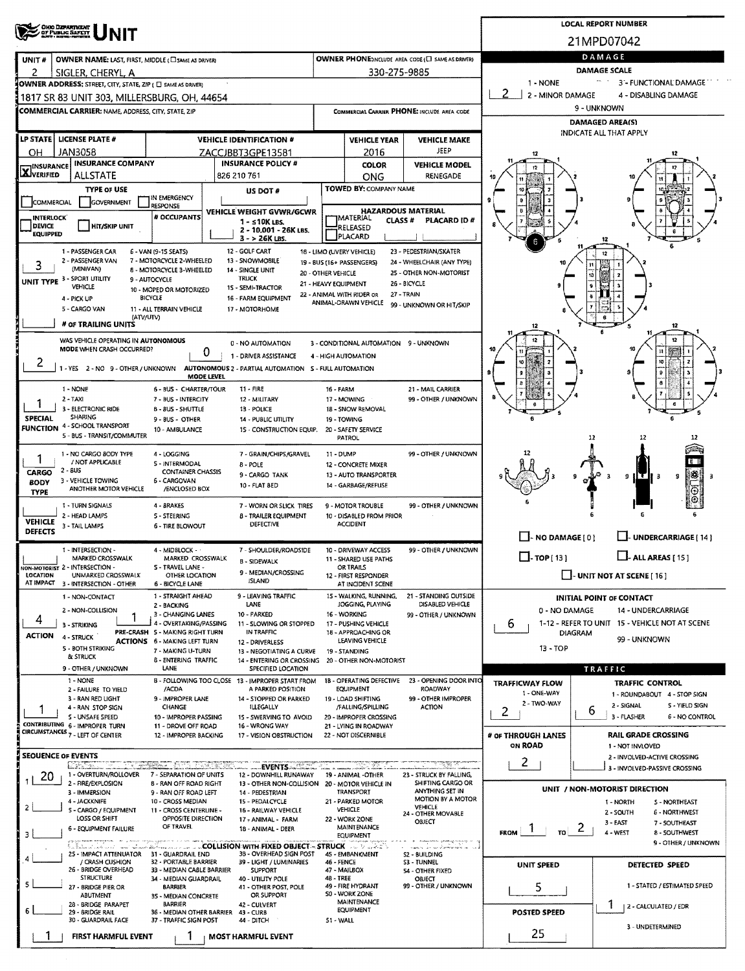|                                  | OHIO DEPARTMENT<br>OF PUBLIC SAFETY                              |                                                                        | <b>LOCAL REPORT NUMBER</b>                                                                                                                                                                                                     |                                            |                                                                |                                             |                                                     |                                                              |  |  |  |  |  |  |
|----------------------------------|------------------------------------------------------------------|------------------------------------------------------------------------|--------------------------------------------------------------------------------------------------------------------------------------------------------------------------------------------------------------------------------|--------------------------------------------|----------------------------------------------------------------|---------------------------------------------|-----------------------------------------------------|--------------------------------------------------------------|--|--|--|--|--|--|
|                                  |                                                                  |                                                                        | 21MPD07042                                                                                                                                                                                                                     |                                            |                                                                |                                             |                                                     |                                                              |  |  |  |  |  |  |
| UNIT#                            | OWNER NAME: LAST, FIRST, MIDDLE (C) SAME AS DRIVER)              |                                                                        | DAMAGE                                                                                                                                                                                                                         |                                            |                                                                |                                             |                                                     |                                                              |  |  |  |  |  |  |
| 2                                | SIGLER, CHERYL, A                                                |                                                                        | OWNER PHONE; INCLUDE AREA CODE (E) SAME AS DRIVER)<br><b>DAMAGE SCALE</b>                                                                                                                                                      |                                            |                                                                |                                             |                                                     |                                                              |  |  |  |  |  |  |
|                                  | OWNER ADDRESS: STREET, CITY, STATE, ZIP ( C) SAME AS DRIVER)     |                                                                        | $\bullet\bullet\circ\to$<br>1 - NONE<br>3 - FUNCTIONAL DAMAGE                                                                                                                                                                  |                                            |                                                                |                                             |                                                     |                                                              |  |  |  |  |  |  |
|                                  | 1817 SR 83 UNIT 303, MILLERSBURG, OH, 44654                      |                                                                        |                                                                                                                                                                                                                                |                                            |                                                                |                                             | 2<br>2 - MINOR DAMAGE<br>4 - DISABLING DAMAGE       |                                                              |  |  |  |  |  |  |
|                                  | COMMERCIAL CARRIER: NAME, ADDRESS, CITY, STATE, ZIP              |                                                                        |                                                                                                                                                                                                                                |                                            |                                                                | COMMERCIAL CARRIER PHONE: INCLUDE AREA CODE | 9 - UNKNOWN<br><b>DAMAGED AREA(S)</b>               |                                                              |  |  |  |  |  |  |
|                                  | LP STATE   LICENSE PLATE #                                       |                                                                        | <b>VEHICLE IDENTIFICATION #</b>                                                                                                                                                                                                |                                            | <b>VEHICLE YEAR</b>                                            | <b>VEHICLE MAKE</b>                         |                                                     | INDICATE ALL THAT APPLY                                      |  |  |  |  |  |  |
| он                               | <b>JAN3058</b>                                                   |                                                                        | ZACCJBBT3GPE13581                                                                                                                                                                                                              |                                            | 2016                                                           | <b>JEEP</b>                                 | 12                                                  |                                                              |  |  |  |  |  |  |
| <b>X</b> VERIFIED                | <b>INSURANCE INSURANCE COMPANY</b>                               |                                                                        | <b>INSURANCE POLICY #</b>                                                                                                                                                                                                      |                                            | <b>COLOR</b>                                                   | <b>VEHICLE MODEL</b>                        | 12                                                  |                                                              |  |  |  |  |  |  |
|                                  | <b>ALLSTATE</b><br><b>TYPE OF USE</b>                            |                                                                        | 826 210 761                                                                                                                                                                                                                    |                                            | ONG<br>TOWED BY: COMPANY NAME                                  | RENEGADE                                    | -18                                                 |                                                              |  |  |  |  |  |  |
| COMMERCIAL                       | GOVERNMENT                                                       | IN EMERGENCY<br><b>IRESPONSE</b>                                       | US DOT #                                                                                                                                                                                                                       |                                            |                                                                |                                             |                                                     |                                                              |  |  |  |  |  |  |
| <b>INTERLOCK</b>                 |                                                                  | # OCCUPANTS                                                            | <b>VEHICLE WEIGHT GVWR/GCWR</b><br>$1 - 510K$ LBS.                                                                                                                                                                             |                                            | <b>HAZARDOUS MATERIAL</b><br><b>IMATERIAL</b><br><b>CLASS#</b> | PLACARD ID#                                 |                                                     |                                                              |  |  |  |  |  |  |
| <b>DEVICE</b><br><b>EQUIPPED</b> | <b>HIT/SKIP UNIT</b>                                             |                                                                        | 2 - 10.001 - 26K LBS.<br>$3 - 26K$ LBS.                                                                                                                                                                                        |                                            | RELEASED<br>PLACARD                                            |                                             |                                                     |                                                              |  |  |  |  |  |  |
|                                  | 1 - PASSENGER CAR                                                | 6 - VAN (9-15 SEATS)                                                   | 12 - GOLF CART                                                                                                                                                                                                                 |                                            | 18 - LIMO (LIVERY VEHICLE)                                     | 23 - PEDESTRIAN/SKATER                      |                                                     |                                                              |  |  |  |  |  |  |
| 3                                | 2 - PASSENGER VAN<br>(MINIVAN)                                   | 7 - MOTORCYCLE 2-WHEELED<br>8 - MOTORCYCLE 3-WHEELED                   | 13 - SNOWMOBILE<br>14 - SINGLE UNIT                                                                                                                                                                                            |                                            | 19 - BUS (16+ PASSENGERS)                                      | 24 - WHEELCHAIR (ANY TYPE)                  |                                                     |                                                              |  |  |  |  |  |  |
|                                  | UNIT TYPE 3 - SPORT UTILITY<br>VEHICLE                           | 9 - AUTOCYCLE                                                          | <b>TRUCK</b>                                                                                                                                                                                                                   | 20 - OTHER VEHICLE<br>21 - HEAVY EQUIPMENT |                                                                | 25 - OTHER NON-MOTORIST<br>26 - BICYCLE     |                                                     |                                                              |  |  |  |  |  |  |
|                                  | 4 - PICK UP                                                      | 10 - MOPED OR MOTORIZED<br><b>BICYCLE</b>                              | 15 - SEMI-TRACTOR<br>16 - FARM EQUIPMENT                                                                                                                                                                                       |                                            | 22 - ANIMAL WITH RIDER OR<br>ANIMAL-DRAWN VEHICLE              | 27 - TRAIN                                  |                                                     |                                                              |  |  |  |  |  |  |
|                                  | 5 - CARGO VAN<br>(ATV/UTV)                                       | 11 - ALL TERRAIN VEHICLE                                               | 17 - MOTORHOME                                                                                                                                                                                                                 |                                            |                                                                | 99 - UNKNOWN OR HIT/SKIP                    |                                                     |                                                              |  |  |  |  |  |  |
|                                  | # OF TRAILING UNITS                                              |                                                                        |                                                                                                                                                                                                                                |                                            |                                                                |                                             | 12                                                  | 12                                                           |  |  |  |  |  |  |
|                                  | WAS VEHICLE OPERATING IN AUTONOMOUS<br>MODE WHEN CRASH OCCURRED? |                                                                        | 3 - CONDITIONAL AUTOMATION 9 - UNKNOWN                                                                                                                                                                                         |                                            |                                                                |                                             |                                                     |                                                              |  |  |  |  |  |  |
| 2                                |                                                                  |                                                                        | Ü<br>1 - DRIVER ASSISTANCE<br>1 - YES 2 - NO 9 - OTHER / UNKNOWN AUTONOMOUS 2 - PARTIAL AUTOMATION 5 - FULL AUTOMATION                                                                                                         | 4 - HIGH AUTOMATION                        |                                                                |                                             |                                                     |                                                              |  |  |  |  |  |  |
|                                  |                                                                  |                                                                        | <b>MODE LEVEL</b>                                                                                                                                                                                                              |                                            |                                                                |                                             |                                                     |                                                              |  |  |  |  |  |  |
|                                  | 1 - NONE<br>$2 - TAXI$                                           | 6 - BUS - CHARTER/TOUR<br>7 - BUS - INTERCITY                          | $11 - FIRE$<br>12 - MILITARY                                                                                                                                                                                                   | 16 - FARM                                  | 17 - MOWING                                                    | 21 - MAIL CARRIER<br>99 - OTHER / UNKNOWN   |                                                     |                                                              |  |  |  |  |  |  |
| 1                                | 3 - ELECTRONIC RIDE<br>SHARING                                   | 8-BUS-SHUTTLE                                                          | 13 - POLICE                                                                                                                                                                                                                    |                                            | 18 - SNOW REMOVAL                                              |                                             |                                                     |                                                              |  |  |  |  |  |  |
| <b>SPECIAL</b>                   | <b>FUNCTION 4 - SCHOOL TRANSPORT</b>                             | 9 - BUS - OTHER<br>10 - AMBULANCE                                      | <b>14 - PUBLIC UTILITY</b><br>1S - CONSTRUCTION EQUIP.                                                                                                                                                                         |                                            | 19 - TOWING<br>20 - SAFETY SERVICE                             |                                             |                                                     |                                                              |  |  |  |  |  |  |
|                                  | 5 - BUS - TRANSIT/COMMUTER                                       |                                                                        |                                                                                                                                                                                                                                |                                            | PATROL                                                         |                                             |                                                     | 12<br>11<br>12                                               |  |  |  |  |  |  |
| 1                                | 1 - NO CARGO BODY TYPE<br>/ NOT APPLICABLE                       | 4 - LOGGING<br>5 - INTERMODAL                                          | 7 - GRAIN/CHIPS/GRAVEL<br><b>B-POLE</b>                                                                                                                                                                                        | 11 - DUMP                                  | 12 - CONCRETE MIXER                                            | 99 - OTHER / UNKNOWN                        |                                                     | IН                                                           |  |  |  |  |  |  |
| <b>CARGO</b>                     | $2 - BUS$<br>3 - VEHICLE TOWING                                  | <b>CONTAINER CHASSIS</b><br>6 - CARGOVAN                               | 9 - CARGO TANK                                                                                                                                                                                                                 |                                            | 13 - AUTO TRANSPORTER                                          |                                             |                                                     | ¦≋\$<br>ΙŦ<br>9<br>9 I<br>з                                  |  |  |  |  |  |  |
| <b>BODY</b><br><b>TYPE</b>       | ANOTHER MOTOR VEHICLE                                            | /ENCLOSED BOX                                                          | 10 - FLAT BED                                                                                                                                                                                                                  |                                            | 14 - GARBAGE/REFUSE                                            |                                             |                                                     |                                                              |  |  |  |  |  |  |
|                                  | 1 - TURN SIGNALS                                                 | 4 - BRAKES                                                             | 7 - WORN OR SLICK TIRES                                                                                                                                                                                                        |                                            | 9 - MOTOR TROUBLE                                              | 99 - OTHER / UNKNOWN                        |                                                     |                                                              |  |  |  |  |  |  |
| <b>VEHICLE</b><br><b>DEFECTS</b> | 2 - HEAD LAMPS<br>3 - TAIL LAMPS                                 | <b>S-STEERING</b><br>6 - TIRE BLOWOUT                                  | <b>B - TRAILER EQUIPMENT</b><br>DEFECTIVE                                                                                                                                                                                      |                                            | 10 - DISABLED FROM PRIOR<br><b>ACCIDENT</b>                    |                                             |                                                     |                                                              |  |  |  |  |  |  |
|                                  |                                                                  |                                                                        |                                                                                                                                                                                                                                |                                            |                                                                |                                             | NO DAMAGE [0]                                       | UNDERCARRIAGE [14]                                           |  |  |  |  |  |  |
|                                  | 1 - INTERSECTION -<br>MARKED CROSSWALK                           | 4 - MIDBLOCK -<br>MARKED CROSSWALK                                     | 7 - SHOULDER/ROADSIDE<br><b>B - SIDEWALK</b>                                                                                                                                                                                   |                                            | 10 - DRIVEWAY ACCESS<br>11 - SHARED USE PATHS                  | 99 - OTHER / UNKNOWN                        | $\Box$ -TOP[13]                                     | $\Box$ - ALL AREAS [ 15 ]                                    |  |  |  |  |  |  |
| LOCATION                         | NON-MOTORIST 2 - INTERSECTION -<br>UNMARKED CROSSWALK            | S - TRAVEL LANE -<br>OTHER LOCATION                                    | 9 - MEDIAN/CROSSING                                                                                                                                                                                                            |                                            | <b>OR TRAILS</b><br>12 - FIRST RESPONDER                       |                                             | $\Box$ - UNIT NOT AT SCENE [ 16 ]                   |                                                              |  |  |  |  |  |  |
| AT IMPACT                        | 3 - INTERSECTION - OTHER                                         | <b>6 - BICYCLE LANE</b><br>1 - STRAIGHT AHEAD                          | <b>ISLAND</b><br>9 - LEAVING TRAFFIC                                                                                                                                                                                           |                                            | AT INCIDENT SCENE<br>15 - WALKING, RUNNING,                    | 21 - STANDING OUTSIDE                       |                                                     |                                                              |  |  |  |  |  |  |
|                                  | 1 - NON-CONTACT<br>2 - NON-COLLISION                             | 2 - BACKING                                                            | LANE                                                                                                                                                                                                                           |                                            | JOGGING, PLAYING                                               | <b>DISABLED VEHICLE</b>                     | 0 - NO DAMAGE                                       | <b>INITIAL POINT OF CONTACT</b><br>14 - UNDERCARRIAGE        |  |  |  |  |  |  |
| 4                                | 3 - STRIKING                                                     | 3 - CHANGING LANES<br>4 - OVERTAKING/PASSING                           | 10 - PARKED<br>11 - SLOWING OR STOPPED                                                                                                                                                                                         |                                            | 16 - WORKING<br>17 - PUSHING VEHICLE                           | 99 - OTHER / UNKNOWN                        | 1-12 - REFER TO UNIT 15 - VEHICLE NOT AT SCENE<br>6 |                                                              |  |  |  |  |  |  |
| <b>ACTION</b>                    | 4 - STRUCK                                                       | PRE-CRASH 5 - MAKING RIGHT TURN<br><b>ACTIONS 6 - MAKING LEFT TURN</b> | IN TRAFFIC<br>12 - DRIVERLESS                                                                                                                                                                                                  |                                            | 18 - APPROACHING OR<br>LEAVING VEHICLE                         |                                             | DIAGRAM<br>99 - UNKNOWN                             |                                                              |  |  |  |  |  |  |
|                                  | 5 - BOTH STRIKING<br>& STRUCK                                    | 7 - MAKING U-TURN<br>8 - ENTERING TRAFFIC                              | 13 - NEGOTIATING A CURVE<br>14 - ENTERING OR CROSSING                                                                                                                                                                          |                                            | 19 - STANDING<br>20 - OTHER NON-MOTORIST                       |                                             | $13 - TOP$                                          |                                                              |  |  |  |  |  |  |
|                                  | 9 - OTHER / UNKNOWN                                              | LANE                                                                   | SPECIFIED LOCATION                                                                                                                                                                                                             |                                            |                                                                |                                             |                                                     | <b>TRAFFIC</b>                                               |  |  |  |  |  |  |
|                                  | 1 - NONE<br>2 - FAILURE TO YIELD                                 | /ACDA                                                                  | B - FOLLOWING TOO CLOSE 13 - IMPROPER START FROM<br>A PARKED POSITION                                                                                                                                                          |                                            | 18 - OPERATING DEFECTIVE<br>EQUIPMENT                          | 23 - OPENING DOOR INTO<br>ROADWAY           | <b>TRAFFICWAY FLOW</b><br>1 - ONE-WAY               | <b>TRAFFIC CONTROL</b><br>1 - ROUNDABOUT 4 - STOP SIGN       |  |  |  |  |  |  |
|                                  | 3 - RAN RED LIGHT<br>4 - RAN STOP SIGN                           | 9 - IMPROPER LANE<br>CHANGE                                            | 14 - STOPPED OR PARKED<br><b>ILLEGALLY</b>                                                                                                                                                                                     |                                            | 19 - LOAD SHIFTING<br>/FALLING/SPILLING                        | 99 - OTHER IMPROPER<br><b>ACTION</b>        | 2 - TWO-WAY                                         | 2 - SIGNAL<br><b>S - YIELD SIGN</b><br>b                     |  |  |  |  |  |  |
|                                  | S - UNSAFE SPEED<br>CONTRIBUTING 6 - IMPROPER TURN               | 10 - IMPROPER PASSING<br>11 - DROVE OFF ROAD                           | 15 - SWERVING TO AVOID<br>16 - WRONG WAY                                                                                                                                                                                       |                                            | 20 - IMPROPER CROSSING<br>21 - LYING IN ROADWAY                |                                             | 2                                                   | 3 - FLASHER<br>6 - NO CONTROL                                |  |  |  |  |  |  |
|                                  | CIRCUMSTANCES 7 - LEFT OF CENTER                                 | 12 - IMPROPER BACKING                                                  | 17 - VISION OBSTRUCTION                                                                                                                                                                                                        |                                            | 22 - NOT DISCERNIBLE                                           |                                             | # OF THROUGH LANES                                  | <b>RAIL GRADE CROSSING</b>                                   |  |  |  |  |  |  |
|                                  | <b>SEOUENCE OF EVENTS</b>                                        |                                                                        |                                                                                                                                                                                                                                |                                            |                                                                |                                             | <b>ON ROAD</b>                                      | 1 - NOT INVLOVED<br>2 - INVOLVED-ACTIVE CROSSING             |  |  |  |  |  |  |
| 20                               | Litera<br>1 - OVERTURN/ROLLOVER                                  | असम्म करावा<br><b>Mary an</b><br>7 - SEPARATION OF UNITS               | <b>EVENTS ACTED</b><br>12 - DOWNHILL RUNAWAY                                                                                                                                                                                   |                                            | 19 - ANIMAL -OTHER                                             | 23 - STRUCK BY FALLING,                     | 2                                                   | 3 - INVOLVED-PASSIVE CROSSING                                |  |  |  |  |  |  |
|                                  | 2 - FIRE/EXPLOSION<br>3 - IMMERSION                              | <b>8 - RAN OFF ROAD RIGHT</b><br>9 - RAN OFF ROAD LEFT                 | 13 - OTHER NON-COLLISION 20 - MOTOR VEHICLE IN<br>14 - PEDESTRIAN                                                                                                                                                              |                                            | TRANSPORT                                                      | SHIFTING CARGO OR<br>ANYTHING SET IN        |                                                     | UNIT / NON-MOTORIST DIRECTION                                |  |  |  |  |  |  |
|                                  | 4 - JACKKNIFE<br>S - CARGO / EQUIPMENT                           | 10 - CROSS MEDIAN<br>11 - CROSS CENTERLINE -                           | 15 - PEDALCYCLE                                                                                                                                                                                                                |                                            | 21 - PARKED MOTOR<br>VEHICLE                                   | MOTION BY A MOTOR<br>VEHICLE                |                                                     | 1 - NORTH<br>S - NORTHEAST                                   |  |  |  |  |  |  |
|                                  | LOSS OR SHIFT                                                    | OPPOSITE DIRECTION<br>OF TRAVEL                                        | 16 - RAILWAY VEHICLE<br>17 - ANIMAL - FARM                                                                                                                                                                                     |                                            | 22 - WORK ZONE                                                 | 24 - OTHER MOVABLE<br>OBJECT                |                                                     | <b>6 - NORTHWEST</b><br>2 SOUTH<br>3 - EAST<br>7 - SOUTHEAST |  |  |  |  |  |  |
|                                  | 6 - EQUIPMENT FAILURE                                            |                                                                        | 18 - ANIMAL - DEER                                                                                                                                                                                                             |                                            | <b>MAINTENANCE</b><br><b>EQUIPMENT</b>                         | ananan'ilay kaominina dia 49.799° ar        | $\frac{1}{10}$ 2<br>$FROM$ $\frac{1}{1}$            | 4 - WEST<br>8 - SOUTHWEST                                    |  |  |  |  |  |  |
|                                  | 25 - IMPACT ATTENUATOR 31 - GUARDRAIL END                        |                                                                        | $\mathsf{L}\mathsf{S}$ and $\mathsf{L}\mathsf{L}\mathsf{S}$ and $\mathsf{L}\mathsf{S}$ and $\mathsf{L}\mathsf{C}$ collision with fixed object $\mathsf{L}\mathsf{S}$ and $\mathsf{L}\mathsf{S}$ and<br>3B - OVERHEAD SIGN POST |                                            | 45 - EMBANKMENT                                                | many as as changes are as<br>S2 - BUILDING  |                                                     | 9 - OTHER / UNKNOWN                                          |  |  |  |  |  |  |
|                                  | / CRASH CUSHION<br>26 - BRIDGE OVERHEAD                          | 32 - PORTABLE BARRIER<br>33 - MEDIAN CABLE BARRIER                     | 39 - LIGHT / LUMINARIES<br><b>SUPPORT</b>                                                                                                                                                                                      | 46 - FENCE                                 | 47 - MAILBOX                                                   | S3 - TUNNEL<br>54 - OTHER FIXED             | UNIT SPEED                                          | DETECTED SPEED                                               |  |  |  |  |  |  |
|                                  | <b>STRUCTURE</b><br>27 - BRIDGE PIER OR                          | 34 - MEDIAN GUARDRAIL<br><b>BARRIER</b>                                | 40 - UTILITY POLE<br>41 - OTHER POST, POLE                                                                                                                                                                                     | 48 - TREE                                  | 49 - FIRE HYDRANT                                              | OBJECT<br>99 - OTHER / UNKNOWN              | 5                                                   | 1 - STATED / ESTIMATED SPEED                                 |  |  |  |  |  |  |
|                                  | ABUTMENT<br>28 - BRIDGE PARAPET                                  | 35 - MEDIAN CONCRETE<br><b>BARRIER</b>                                 | OR SUPPORT<br>42 - CULVERT                                                                                                                                                                                                     |                                            | 50 - WORK ZONE<br><b>MAINTENANCE</b>                           |                                             |                                                     | 2 - CALCULATED / EDR                                         |  |  |  |  |  |  |
| 6                                | 29 - BRIDGE RAIL<br>30 - GUARDRAIL FACE                          | 36 - MEDIAN OTHER BARRIER<br>37 - TRAFFIC SIGN POST                    | 43 - CURB<br>44 - DITCH                                                                                                                                                                                                        | 51 - WALL                                  | EQUIPMENT                                                      |                                             | <b>POSTED SPEED</b>                                 |                                                              |  |  |  |  |  |  |
|                                  | FIRST HARMFUL EVENT                                              | 1                                                                      | <b>MOST HARMFUL EVENT</b>                                                                                                                                                                                                      |                                            |                                                                |                                             | 25                                                  | 3 - UNDETERMINED                                             |  |  |  |  |  |  |
|                                  |                                                                  |                                                                        |                                                                                                                                                                                                                                |                                            |                                                                |                                             |                                                     |                                                              |  |  |  |  |  |  |